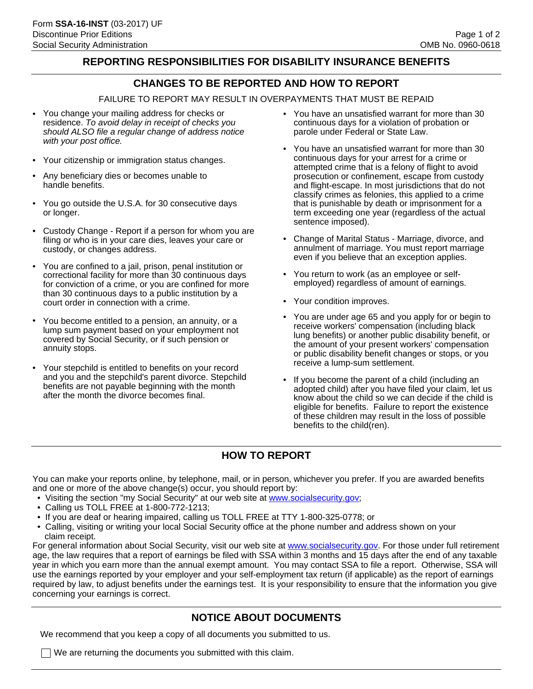### **REPORTING RESPONSIBILITIES FOR DISABILITY INSURANCE BENEFITS**

#### **CHANGES TO BE REPORTED AND HOW TO REPORT**

FAILURE TO REPORT MAY RESULT IN OVERPAYMENTS THAT MUST BE REPAID

- You change your mailing address for checks or residence. *To avoid delay in receipt of checks you should ALSO file a regular change of address notice with your post office.*
- Your citizenship or immigration status changes.
- Any beneficiary dies or becomes unable to handle benefits.
- You go outside the U.S.A. for 30 consecutive days or longer.
- Custody Change Report if a person for whom you are filing or who is in your care dies, leaves your care or custody, or changes address.
- You are confined to a jail, prison, penal institution or correctional facility for more than 30 continuous days for conviction of a crime, or you are confined for more than 30 continuous days to a public institution by a court order in connection with a crime.
- You become entitled to a pension, an annuity, or a lump sum payment based on your employment not covered by Social Security, or if such pension or annuity stops.
- Your stepchild is entitled to benefits on your record and you and the stepchild's parent divorce. Stepchild benefits are not payable beginning with the month after the month the divorce becomes final.
- You have an unsatisfied warrant for more than 30 continuous days for a violation of probation or parole under Federal or State Law.
- You have an unsatisfied warrant for more than 30 continuous days for your arrest for a crime or attempted crime that is a felony of flight to avoid prosecution or confinement, escape from custody and flight-escape. In most jurisdictions that do not classify crimes as felonies, this applied to a crime that is punishable by death or imprisonment for a term exceeding one year (regardless of the actual sentence imposed).
- Change of Marital Status Marriage, divorce, and annulment of marriage. You must report marriage even if you believe that an exception applies.
- You return to work (as an employee or selfemployed) regardless of amount of earnings.
- Your condition improves.
- You are under age 65 and you apply for or begin to receive workers' compensation (including black lung benefits) or another public disability benefit, or the amount of your present workers' compensation or public disability benefit changes or stops, or you receive a lump-sum settlement.
- If you become the parent of a child (including an adopted child) after you have filed your claim, let us know about the child so we can decide if the child is eligible for benefits. Failure to report the existence of these children may result in the loss of possible benefits to the child(ren).

# **HOW TO REPORT**

You can make your reports online, by telephone, mail, or in person, whichever you prefer. If you are awarded benefits and one or more of the above change(s) occur, you should report by:

- Visiting the section "my Social Security" at our web site at [www.socialsecurity.gov;](www.socialsecurity.gov)
- Calling us TOLL FREE at 1-800-772-1213;
- If you are deaf or hearing impaired, calling us TOLL FREE at TTY 1-800-325-0778; or
- Calling, visiting or writing your local Social Security office at the phone number and address shown on your claim receipt.

For general information about Social Security, visit our web site at <www.socialsecurity.gov>. For those under full retirement age, the law requires that a report of earnings be filed with SSA within 3 months and 15 days after the end of any taxable year in which you earn more than the annual exempt amount. You may contact SSA to file a report. Otherwise, SSA will use the earnings reported by your employer and your self-employment tax return (if applicable) as the report of earnings required by law, to adjust benefits under the earnings test. It is your responsibility to ensure that the information you give concerning your earnings is correct.

#### **NOTICE ABOUT DOCUMENTS**

We recommend that you keep a copy of all documents you submitted to us.

 $\Box$  We are returning the documents you submitted with this claim.